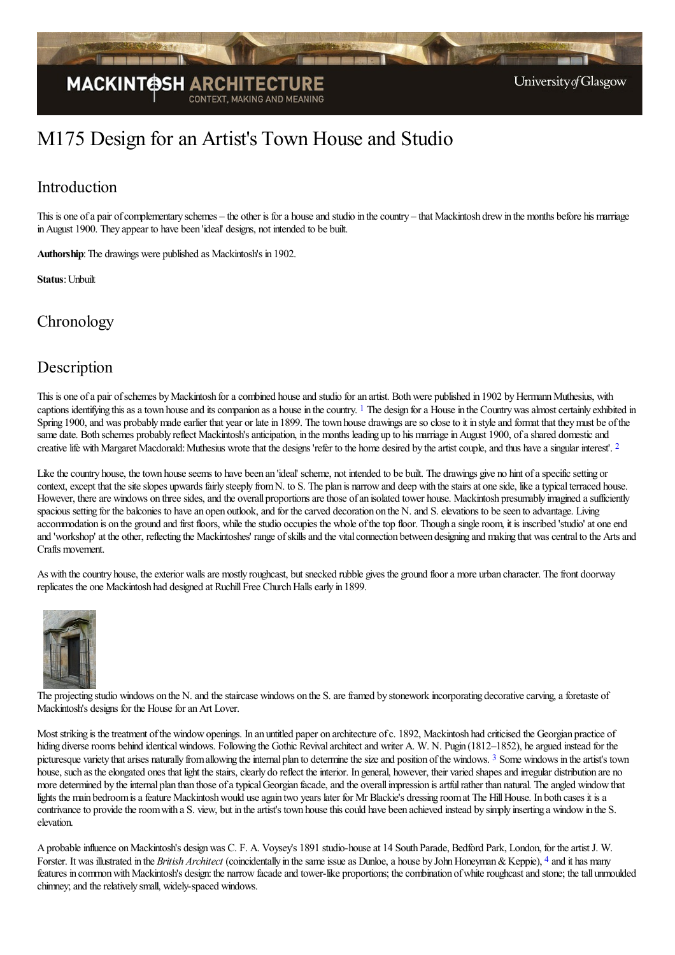

# M175 Design for an Artist's Town House and Studio

# Introduction

This is one of a pair of complementary schemes – the other is for a house and studio in the country – that Mackintosh drew in the months before his marriage inAugust 1900. They appear to have been 'ideal' designs, not intended to be built.

Authorship: The drawings were published as Mackintosh's in 1902.

**Status**: Unbuilt

## **Chronology**

### Description

<span id="page-0-0"></span>This is one of a pair of schemes by Mackintosh for a combined house and studio for an artist. Both were published in 1902 by Hermann Muthesius, with captions identifying this as a town house and its companion as a house in the country. <sup>[1](#page-2-0)</sup> The design for a House in the Country was almost certainly exhibited in Spring 1900, and was probably made earlier that year or late in 1899. The town house drawings are so close to it in style and format that they must be of the same date. Both schemes probably reflect Mackintosh's anticipation, in the months leading up to his marriage in August 1900, of a shared domestic and creative life with Margaret Macdonald: Muthesius wrote that the designs 'refer to the home desired by the artist couple, and thus have a singular interest'. <sup>[2](#page-2-1)</sup>

<span id="page-0-1"></span>Like the country house, the town house seems to have been an 'ideal' scheme, not intended to be built. The drawings give no hint of a specific setting or context, except that the site slopes upwards fairly steeply from N. to S. The plan is narrow and deep with the stairs at one side, like a typical terraced house. However, there are windows on three sides, and the overall proportions are those of an isolated tower house. Mackintosh presumably imagined a sufficiently spacious setting for the balconies to have an open outlook, and for the carved decoration on the N. and S. elevations to be seen to advantage. Living accommodation is on the ground and first floors, while the studio occupies the whole of the top floor. Though a single room, it is inscribed 'studio' at one end and 'workshop' at the other, reflecting the Mackintoshes' range ofskillsand the vitalconnection between designing and making that wascentralto the Artsand Crafts movement.

As with the country house, the exterior walls are mostly roughcast, but snecked rubble gives the ground floor a more urban character. The front doorway replicates the one Mackintosh had designed at Ruchill Free Church Halls early in 1899.



The [projecting](http://www.mackintosh-architecture.gla.ac.uk/catalogue/images/?filename=c403_001) studio windows on the N. and the staircase windows on the S. are framed by stonework incorporating decorative carving, a foretaste of Mackintosh's designs for the House for an Art Lover.

<span id="page-0-2"></span>Most striking is the treatment of the window openings. In an untitled paper on architecture of c. 1892, Mackintosh had criticised the Georgian practice of hiding diverse rooms behind identical windows. Following the Gothic Revival architect and writer A. W. N. Pugin (1812–1852), he argued instead for the picturesque variety that arises naturally from allowing the internal plan to determine the size and position of the windows. <sup>[3](#page-2-2)</sup> Some windows in the artist's town house, such as the elongated ones that light the stairs, clearly do reflect the interior. In general, however, their varied shapes and irregular distribution are no more determined by the internal plan than those of a typical Georgian facade, and the overall impression is artful rather than natural. The angled window that lights the main bedroom is a feature Mackintosh would use again two years later for Mr Blackie's dressing room at The Hill House. In both cases it is a contrivance to provide the room with a S. view, but in the artist's town house this could have been achieved instead by simply inserting a window in the S. elevation.

<span id="page-0-3"></span>A probable influence on Mackintosh's design was C. F. A. Voysey's 1891 studio-house at 14 South Parade, Bedford Park, London, for the artist J. W. Forster. It was illustrated in the *British Architect* (coincidentally in the same issue as Dunloe, a house by John Honeyman & Keppie), <sup>[4](#page-2-3)</sup> and it has many features in common with Mackintosh's design: the narrow facade and tower-like proportions; the combination of white roughcast and stone; the tall unmoulded chimney; and the relatively small, widely-spaced windows.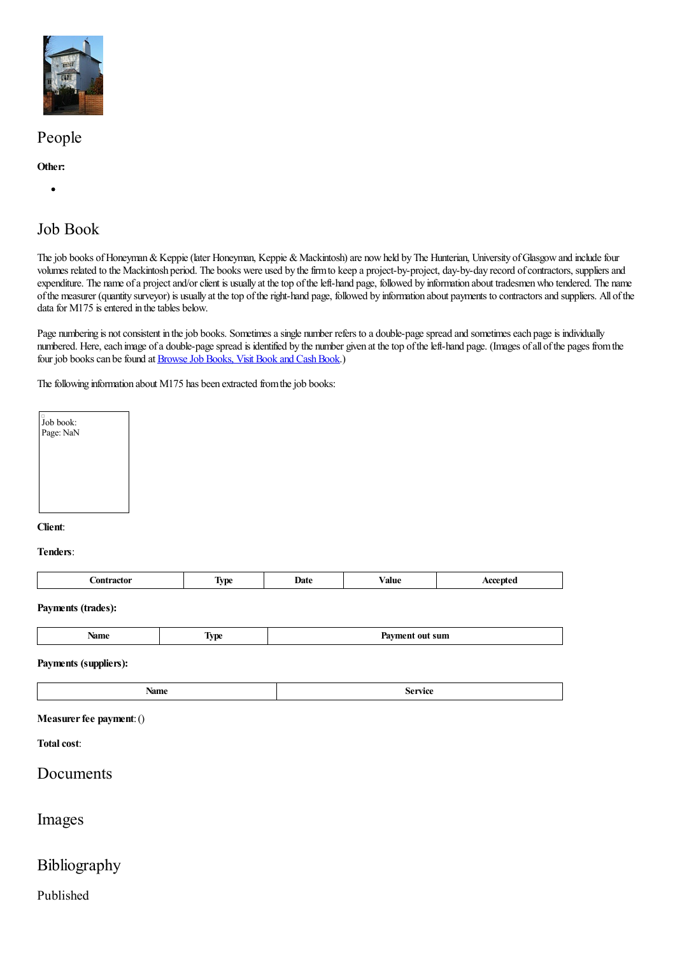

# People

### **Other:**

 $\bullet$ 

# Job Book

The job books of Honeyman & Keppie (later Honeyman, Keppie & Mackintosh) are now held by The Hunterian, University of Glasgow and include four volumes related to the Mackintosh period. The books were used by the firm to keep a project-by-project, day-by-day record of contractors, suppliers and expenditure. The name of a project and/or client is usually at the top of the left-hand page, followed by information about tradesmen who tendered. The name ofthe measurer (quantity surveyor) is usually at thetop oftheright-hand page, followed by information about payments to contractorsand suppliers. All ofthe data for  $M175$  is entered in the tables below.

Page numbering is not consistent in the job books. Sometimes a single number refers to a double-page spread and sometimes each page is individually numbered. Here, each image of a double-page spread is identified by the number given at the top of the left-hand page. (Images of all of the pages from the four job books can be found at Browse Job Books, Visit Book and Cash Book.)

The following information about M175 has been extracted from the job books:



#### **Client**:

#### **Tenders**:

| <br>$- - - -$<br>_ _ _ _ _ _ _ _ _ | œ | -<br><b>TIM</b> | .)ate | ⁄ alue |  |
|------------------------------------|---|-----------------|-------|--------|--|
|------------------------------------|---|-----------------|-------|--------|--|

#### **Payments (trades):**

| rame | ---<br>$\sim$ $\sim$ |
|------|----------------------|
|      |                      |

#### **Payments (suppliers):**

|--|

#### **Measurer fee payment:** ()

### **Total cost:**

### Documents

### Images

### Bibliography

### Published